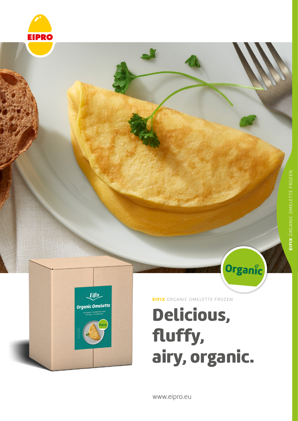



EIFIX ORGANIC OMELETTE FROZEN

# Delicious, fluffy, airy, organic.

Organic

www.eipro.eu